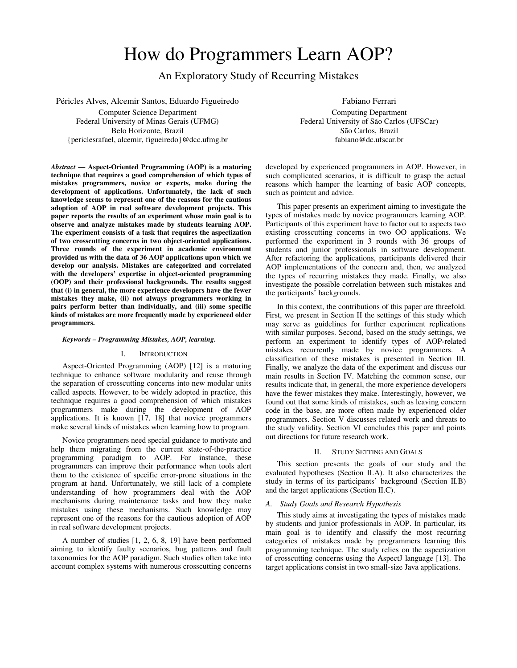# How do Programmers Learn AOP?

An Exploratory Study of Recurring Mistakes

Péricles Alves, Alcemir Santos, Eduardo Figueiredo Computer Science Department Federal University of Minas Gerais (UFMG)

Belo Horizonte, Brazil {periclesrafael, alcemir, figueiredo}@dcc.ufmg.br

*Abstract* **— Aspect-Oriented Programming (AOP) is a maturing technique that requires a good comprehension of which types of mistakes programmers, novice or experts, make during the development of applications. Unfortunately, the lack of such knowledge seems to represent one of the reasons for the cautious adoption of AOP in real software development projects. This paper reports the results of an experiment whose main goal is to observe and analyze mistakes made by students learning AOP. The experiment consists of a task that requires the aspectization of two crosscutting concerns in two object-oriented applications. Three rounds of the experiment in academic environment provided us with the data of 36 AOP applications upon which we develop our analysis. Mistakes are categorized and correlated with the developers' expertise in object-oriented programming (OOP) and their professional backgrounds. The results suggest that (i) in general, the more experience developers have the fewer mistakes they make, (ii) not always programmers working in pairs perform better than individually, and (iii) some specific kinds of mistakes are more frequently made by experienced older programmers.** 

## *Keywords – Programming Mistakes, AOP, learning.*

# I. INTRODUCTION

Aspect-Oriented Programming (AOP) [12] is a maturing technique to enhance software modularity and reuse through the separation of crosscutting concerns into new modular units called aspects. However, to be widely adopted in practice, this technique requires a good comprehension of which mistakes programmers make during the development of AOP applications. It is known [17, 18] that novice programmers make several kinds of mistakes when learning how to program.

Novice programmers need special guidance to motivate and help them migrating from the current state-of-the-practice programming paradigm to AOP. For instance, these programmers can improve their performance when tools alert them to the existence of specific error-prone situations in the program at hand. Unfortunately, we still lack of a complete understanding of how programmers deal with the AOP mechanisms during maintenance tasks and how they make mistakes using these mechanisms. Such knowledge may represent one of the reasons for the cautious adoption of AOP in real software development projects.

A number of studies [1, 2, 6, 8, 19] have been performed aiming to identify faulty scenarios, bug patterns and fault taxonomies for the AOP paradigm. Such studies often take into account complex systems with numerous crosscutting concerns

Computing Department Federal University of São Carlos (UFSCar) São Carlos, Brazil fabiano@dc.ufscar.br

developed by experienced programmers in AOP. However, in such complicated scenarios, it is difficult to grasp the actual reasons which hamper the learning of basic AOP concepts, such as pointcut and advice.

This paper presents an experiment aiming to investigate the types of mistakes made by novice programmers learning AOP. Participants of this experiment have to factor out to aspects two existing crosscutting concerns in two OO applications. We performed the experiment in 3 rounds with 36 groups of students and junior professionals in software development. After refactoring the applications, participants delivered their AOP implementations of the concern and, then, we analyzed the types of recurring mistakes they made. Finally, we also investigate the possible correlation between such mistakes and the participants' backgrounds.

In this context, the contributions of this paper are threefold. First, we present in Section II the settings of this study which may serve as guidelines for further experiment replications with similar purposes. Second, based on the study settings, we perform an experiment to identify types of AOP-related mistakes recurrently made by novice programmers. A classification of these mistakes is presented in Section III. Finally, we analyze the data of the experiment and discuss our main results in Section IV. Matching the common sense, our results indicate that, in general, the more experience developers have the fewer mistakes they make. Interestingly, however, we found out that some kinds of mistakes, such as leaving concern code in the base, are more often made by experienced older programmers. Section V discusses related work and threats to the study validity. Section VI concludes this paper and points out directions for future research work.

# II. STUDY SETTING AND GOALS

This section presents the goals of our study and the evaluated hypotheses (Section II.A). It also characterizes the study in terms of its participants' background (Section II.B) and the target applications (Section II.C).

## *A. Study Goals and Research Hypothesis*

This study aims at investigating the types of mistakes made by students and junior professionals in AOP. In particular, its main goal is to identify and classify the most recurring categories of mistakes made by programmers learning this programming technique. The study relies on the aspectization of crosscutting concerns using the AspectJ language [13]. The target applications consist in two small-size Java applications.

Fabiano Ferrari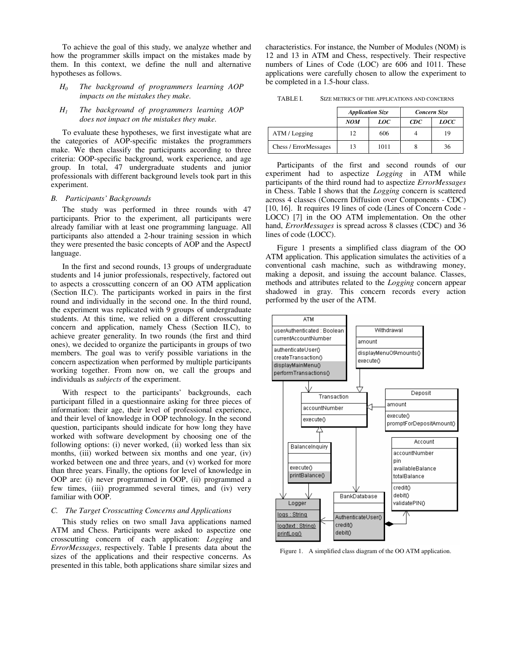To achieve the goal of this study, we analyze whether and how the programmer skills impact on the mistakes made by them. In this context, we define the null and alternative hypotheses as follows.

- $H<sub>0</sub>$  *The background of programmers learning AOP impacts on the mistakes they make.*
- *H1 The background of programmers learning AOP does not impact on the mistakes they make.*

To evaluate these hypotheses, we first investigate what are the categories of AOP-specific mistakes the programmers make. We then classify the participants according to three criteria: OOP-specific background, work experience, and age group. In total, 47 undergraduate students and junior professionals with different background levels took part in this experiment.

## *B. Participants' Backgrounds*

The study was performed in three rounds with 47 participants. Prior to the experiment, all participants were already familiar with at least one programming language. All participants also attended a 2-hour training session in which they were presented the basic concepts of AOP and the AspectJ language.

In the first and second rounds, 13 groups of undergraduate students and 14 junior professionals, respectively, factored out to aspects a crosscutting concern of an OO ATM application (Section II.C). The participants worked in pairs in the first round and individually in the second one. In the third round, the experiment was replicated with 9 groups of undergraduate students. At this time, we relied on a different crosscutting concern and application, namely Chess (Section II.C), to achieve greater generality. In two rounds (the first and third ones), we decided to organize the participants in groups of two members. The goal was to verify possible variations in the concern aspectization when performed by multiple participants working together. From now on, we call the groups and individuals as *subjects o*f the experiment.

With respect to the participants' backgrounds, each participant filled in a questionnaire asking for three pieces of information: their age, their level of professional experience, and their level of knowledge in OOP technology. In the second question, participants should indicate for how long they have worked with software development by choosing one of the following options: (i) never worked, (ii) worked less than six months, (iii) worked between six months and one year, (iv) worked between one and three years, and (v) worked for more than three years. Finally, the options for level of knowledge in OOP are: (i) never programmed in OOP, (ii) programmed a few times, (iii) programmed several times, and (iv) very familiar with OOP.

# *C. The Target Crosscutting Concerns and Applications*

This study relies on two small Java applications named ATM and Chess. Participants were asked to aspectize one crosscutting concern of each application: *Logging* and *ErrorMessages*, respectively. Table I presents data about the sizes of the applications and their respective concerns. As presented in this table, both applications share similar sizes and

characteristics. For instance, the Number of Modules (NOM) is 12 and 13 in ATM and Chess, respectively. Their respective numbers of Lines of Code (LOC) are 606 and 1011. These applications were carefully chosen to allow the experiment to be completed in a 1.5-hour class.

TABLE I. SIZE METRICS OF THE APPLICATIONS AND CONCERNS

|                       | <b>Application Size</b> |      | Concern Size |             |
|-----------------------|-------------------------|------|--------------|-------------|
|                       | <b>NOM</b>              | LOC  | $_{CDC}$     | <i>LOCC</i> |
| ATM / Logging         | 12                      | 606  |              | 19          |
| Chess / ErrorMessages | 13                      | 1011 |              | 36          |

Participants of the first and second rounds of our experiment had to aspectize *Logging* in ATM while participants of the third round had to aspectize *ErrorMessages*  in Chess. Table I shows that the *Logging* concern is scattered across 4 classes (Concern Diffusion over Components - CDC) [10, 16]. It requires 19 lines of code (Lines of Concern Code - LOCC) [7] in the OO ATM implementation. On the other hand, *ErrorMessages* is spread across 8 classes (CDC) and 36 lines of code (LOCC).

Figure 1 presents a simplified class diagram of the OO ATM application. This application simulates the activities of a conventional cash machine, such as withdrawing money, making a deposit, and issuing the account balance. Classes, methods and attributes related to the *Logging* concern appear shadowed in gray. This concern records every action performed by the user of the ATM.



Figure 1. A simplified class diagram of the OO ATM application.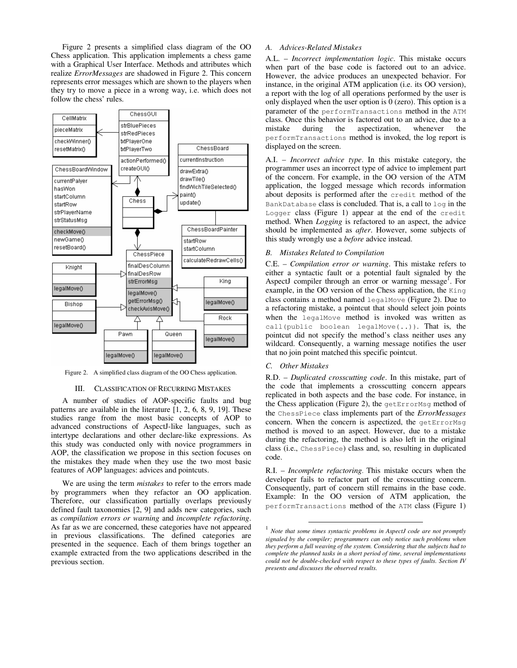Figure 2 presents a simplified class diagram of the OO Chess application. This application implements a chess game with a Graphical User Interface. Methods and attributes which realize *ErrorMessages* are shadowed in Figure 2. This concern represents error messages which are shown to the players when they try to move a piece in a wrong way, i.e. which does not follow the chess' rules.



Figure 2. A simplified class diagram of the OO Chess application.

## III. CLASSIFICATION OF RECURRING MISTAKES

A number of studies of AOP-specific faults and bug patterns are available in the literature  $[1, 2, 6, 8, 9, 19]$ . These studies range from the most basic concepts of AOP to advanced constructions of AspectJ-like languages, such as intertype declarations and other declare-like expressions. As this study was conducted only with novice programmers in AOP, the classification we propose in this section focuses on the mistakes they made when they use the two most basic features of AOP languages: advices and pointcuts.

We are using the term *mistakes* to refer to the errors made by programmers when they refactor an OO application. Therefore, our classification partially overlaps previously defined fault taxonomies [2, 9] and adds new categories, such as *compilation errors or warning* and *incomplete refactoring*. As far as we are concerned, these categories have not appeared in previous classifications. The defined categories are presented in the sequence. Each of them brings together an example extracted from the two applications described in the previous section.

# *A. Advices-Related Mistakes*

A.L. – *Incorrect implementation logic*. This mistake occurs when part of the base code is factored out to an advice. However, the advice produces an unexpected behavior. For instance, in the original ATM application (i.e. its OO version), a report with the log of all operations performed by the user is only displayed when the user option is  $\overline{0}$  (zero). This option is a parameter of the performTransactions method in the ATM class. Once this behavior is factored out to an advice, due to a mistake during the aspectization, whenever the performTransactions method is invoked, the log report is displayed on the screen.

A.I. – *Incorrect advice type*. In this mistake category, the programmer uses an incorrect type of advice to implement part of the concern. For example, in the OO version of the ATM application, the logged message which records information about deposits is performed after the credit method of the BankDatabase class is concluded. That is, a call to log in the Logger class (Figure 1) appear at the end of the credit method. When *Logging* is refactored to an aspect, the advice should be implemented as *after*. However, some subjects of this study wrongly use a *before* advice instead.

## *B. Mistakes Related to Compilation*

C.E. – *Compilation error or warning*. This mistake refers to either a syntactic fault or a potential fault signaled by the AspectJ compiler through an error or warning message<sup>1</sup>. For example, in the OO version of the Chess application, the King class contains a method named legalMove (Figure 2). Due to a refactoring mistake, a pointcut that should select join points when the legalMove method is invoked was written as call(public boolean legalMove(..)). That is, the pointcut did not specify the method's class neither uses any wildcard. Consequently, a warning message notifies the user that no join point matched this specific pointcut.

# *C. Other Mistakes*

**.** 

R.D. – *Duplicated crosscutting code*. In this mistake, part of the code that implements a crosscutting concern appears replicated in both aspects and the base code. For instance, in the Chess application (Figure 2), the getErrorMsg method of the ChessPiece class implements part of the *ErrorMessages* concern. When the concern is aspectized, the getErrorMsg method is moved to an aspect. However, due to a mistake during the refactoring, the method is also left in the original class (i.e., ChessPiece) class and, so, resulting in duplicated code.

R.I. – *Incomplete refactoring*. This mistake occurs when the developer fails to refactor part of the crosscutting concern. Consequently, part of concern still remains in the base code. Example: In the OO version of ATM application, the performTransactions method of the ATM class (Figure 1)

<sup>&</sup>lt;sup>1</sup> Note that some times syntactic problems in AspectJ code are not promptly *signaled by the compiler; programmers can only notice such problems when they perform a full weaving of the system. Considering that the subjects had to complete the planned tasks in a short period of time, several implementations could not be double-checked with respect to these types of faults. Section IV presents and discusses the observed results.*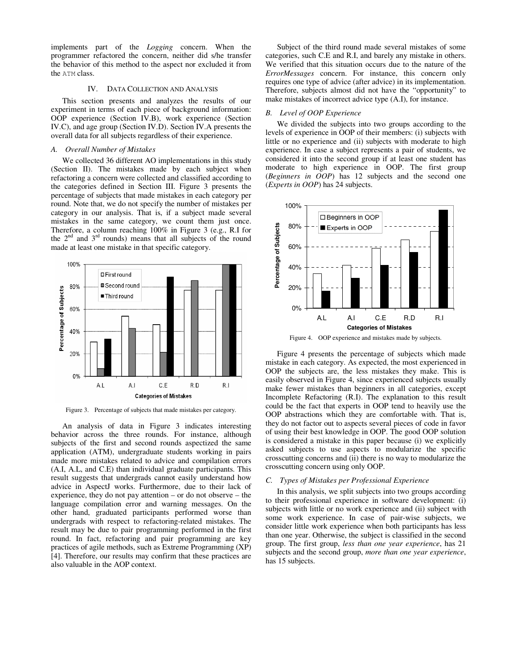implements part of the *Logging* concern. When the programmer refactored the concern, neither did s/he transfer the behavior of this method to the aspect nor excluded it from the ATM class.

## IV. DATA COLLECTION AND ANALYSIS

This section presents and analyzes the results of our experiment in terms of each piece of background information: OOP experience (Section IV.B), work experience (Section IV.C), and age group (Section IV.D). Section IV.A presents the overall data for all subjects regardless of their experience.

## *A. Overall Number of Mistakes*

We collected 36 different AO implementations in this study (Section II). The mistakes made by each subject when refactoring a concern were collected and classified according to the categories defined in Section III. Figure 3 presents the percentage of subjects that made mistakes in each category per round. Note that, we do not specify the number of mistakes per category in our analysis. That is, if a subject made several mistakes in the same category, we count them just once. Therefore, a column reaching 100% in Figure 3 (e.g., R.I for the  $2<sup>nd</sup>$  and  $3<sup>rd</sup>$  rounds) means that all subjects of the round made at least one mistake in that specific category.



Figure 3. Percentage of subjects that made mistakes per category.

An analysis of data in Figure 3 indicates interesting behavior across the three rounds. For instance, although subjects of the first and second rounds aspectized the same application (ATM), undergraduate students working in pairs made more mistakes related to advice and compilation errors (A.I, A.L, and C.E) than individual graduate participants. This result suggests that undergrads cannot easily understand how advice in AspectJ works. Furthermore, due to their lack of experience, they do not pay attention – or do not observe – the language compilation error and warning messages. On the other hand, graduated participants performed worse than undergrads with respect to refactoring-related mistakes. The result may be due to pair programming performed in the first round. In fact, refactoring and pair programming are key practices of agile methods, such as Extreme Programming (XP) [4]. Therefore, our results may confirm that these practices are also valuable in the AOP context.

Subject of the third round made several mistakes of some categories, such C.E and R.I, and barely any mistake in others. We verified that this situation occurs due to the nature of the *ErrorMessages* concern. For instance, this concern only requires one type of advice (after advice) in its implementation. Therefore, subjects almost did not have the "opportunity" to make mistakes of incorrect advice type (A.I), for instance.

## *B. Level of OOP Experience*

We divided the subjects into two groups according to the levels of experience in OOP of their members: (i) subjects with little or no experience and (ii) subjects with moderate to high experience. In case a subject represents a pair of students, we considered it into the second group if at least one student has moderate to high experience in OOP. The first group (*Beginners in OOP*) has 12 subjects and the second one (*Experts in OOP*) has 24 subjects.



Figure 4. OOP experience and mistakes made by subjects.

Figure 4 presents the percentage of subjects which made mistake in each category. As expected, the most experienced in OOP the subjects are, the less mistakes they make. This is easily observed in Figure 4, since experienced subjects usually make fewer mistakes than beginners in all categories, except Incomplete Refactoring (R.I). The explanation to this result could be the fact that experts in OOP tend to heavily use the OOP abstractions which they are comfortable with. That is, they do not factor out to aspects several pieces of code in favor of using their best knowledge in OOP. The good OOP solution is considered a mistake in this paper because (i) we explicitly asked subjects to use aspects to modularize the specific crosscutting concerns and (ii) there is no way to modularize the crosscutting concern using only OOP.

## *C. Types of Mistakes per Professional Experience*

In this analysis, we split subjects into two groups according to their professional experience in software development: (i) subjects with little or no work experience and (ii) subject with some work experience. In case of pair-wise subjects, we consider little work experience when both participants has less than one year. Otherwise, the subject is classified in the second group. The first group, *less than one year experience*, has 21 subjects and the second group, *more than one year experience*, has 15 subjects.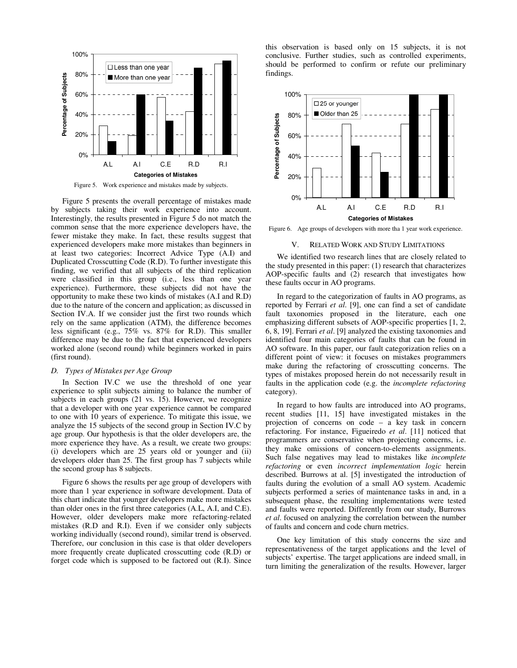

Figure 5. Work experience and mistakes made by subjects.

Figure 5 presents the overall percentage of mistakes made by subjects taking their work experience into account. Interestingly, the results presented in Figure 5 do not match the common sense that the more experience developers have, the fewer mistake they make. In fact, these results suggest that experienced developers make more mistakes than beginners in at least two categories: Incorrect Advice Type (A.I) and Duplicated Crosscutting Code (R.D). To further investigate this finding, we verified that all subjects of the third replication were classified in this group (i.e., less than one year experience). Furthermore, these subjects did not have the opportunity to make these two kinds of mistakes (A.I and R.D) due to the nature of the concern and application; as discussed in Section IV.A. If we consider just the first two rounds which rely on the same application (ATM), the difference becomes less significant (e.g., 75% vs. 87% for R.D). This smaller difference may be due to the fact that experienced developers worked alone (second round) while beginners worked in pairs (first round).

## *D. Types of Mistakes per Age Group*

In Section IV.C we use the threshold of one year experience to split subjects aiming to balance the number of subjects in each groups (21 vs. 15). However, we recognize that a developer with one year experience cannot be compared to one with 10 years of experience. To mitigate this issue, we analyze the 15 subjects of the second group in Section IV.C by age group. Our hypothesis is that the older developers are, the more experience they have. As a result, we create two groups: (i) developers which are 25 years old or younger and (ii) developers older than 25. The first group has 7 subjects while the second group has 8 subjects.

Figure 6 shows the results per age group of developers with more than 1 year experience in software development. Data of this chart indicate that younger developers make more mistakes than older ones in the first three categories (A.L, A.I, and C.E). However, older developers make more refactoring-related mistakes (R.D and R.I). Even if we consider only subjects working individually (second round), similar trend is observed. Therefore, our conclusion in this case is that older developers more frequently create duplicated crosscutting code (R.D) or forget code which is supposed to be factored out (R.I). Since this observation is based only on 15 subjects, it is not conclusive. Further studies, such as controlled experiments, should be performed to confirm or refute our preliminary findings.



Figure 6. Age groups of developers with more tha 1 year work experience.

## **RELATED WORK AND STUDY LIMITATIONS**

We identified two research lines that are closely related to the study presented in this paper: (1) research that characterizes AOP-specific faults and (2) research that investigates how these faults occur in AO programs.

In regard to the categorization of faults in AO programs, as reported by Ferrari *et al*. [9], one can find a set of candidate fault taxonomies proposed in the literature, each one emphasizing different subsets of AOP-specific properties [1, 2, 6, 8, 19]. Ferrari *et al*. [9] analyzed the existing taxonomies and identified four main categories of faults that can be found in AO software. In this paper, our fault categorization relies on a different point of view: it focuses on mistakes programmers make during the refactoring of crosscutting concerns. The types of mistakes proposed herein do not necessarily result in faults in the application code (e.g. the *incomplete refactoring* category).

In regard to how faults are introduced into AO programs, recent studies [11, 15] have investigated mistakes in the projection of concerns on code – a key task in concern refactoring. For instance, Figueiredo *et al*. [11] noticed that programmers are conservative when projecting concerns, i.e. they make omissions of concern-to-elements assignments. Such false negatives may lead to mistakes like *incomplete refactoring* or even *incorrect implementation logic* herein described. Burrows at al. [5] investigated the introduction of faults during the evolution of a small AO system. Academic subjects performed a series of maintenance tasks in and, in a subsequent phase, the resulting implementations were tested and faults were reported. Differently from our study, Burrows *et al*. focused on analyzing the correlation between the number of faults and concern and code churn metrics.

One key limitation of this study concerns the size and representativeness of the target applications and the level of subjects' expertise. The target applications are indeed small, in turn limiting the generalization of the results. However, larger